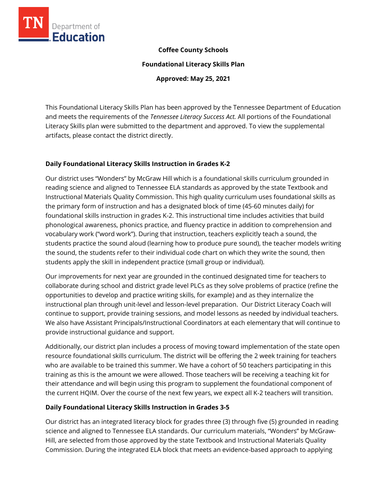

### **Coffee County Schools**

**Foundational Literacy Skills Plan**

**Approved: May 25, 2021**

This Foundational Literacy Skills Plan has been approved by the Tennessee Department of Education and meets the requirements of the *Tennessee Literacy Success Act.* All portions of the Foundational Literacy Skills plan were submitted to the department and approved. To view the supplemental artifacts, please contact the district directly.

### **Daily Foundational Literacy Skills Instruction in Grades K-2**

Our district uses "Wonders" by McGraw Hill which is a foundational skills curriculum grounded in reading science and aligned to Tennessee ELA standards as approved by the state Textbook and Instructional Materials Quality Commission. This high quality curriculum uses foundational skills as the primary form of instruction and has a designated block of time (45-60 minutes daily) for foundational skills instruction in grades K-2. This instructional time includes activities that build phonological awareness, phonics practice, and fluency practice in addition to comprehension and vocabulary work ("word work"). During that instruction, teachers explicitly teach a sound, the students practice the sound aloud (learning how to produce pure sound), the teacher models writing the sound, the students refer to their individual code chart on which they write the sound, then students apply the skill in independent practice (small group or individual).

Our improvements for next year are grounded in the continued designated time for teachers to collaborate during school and district grade level PLCs as they solve problems of practice (refine the opportunities to develop and practice writing skills, for example) and as they internalize the instructional plan through unit-level and lesson-level preparation. Our District Literacy Coach will continue to support, provide training sessions, and model lessons as needed by individual teachers. We also have Assistant Principals/Instructional Coordinators at each elementary that will continue to provide instructional guidance and support.

Additionally, our district plan includes a process of moving toward implementation of the state open resource foundational skills curriculum. The district will be offering the 2 week training for teachers who are available to be trained this summer. We have a cohort of 50 teachers participating in this training as this is the amount we were allowed. Those teachers will be receiving a teaching kit for their attendance and will begin using this program to supplement the foundational component of the current HQIM. Over the course of the next few years, we expect all K-2 teachers will transition.

### **Daily Foundational Literacy Skills Instruction in Grades 3-5**

Our district has an integrated literacy block for grades three (3) through five (5) grounded in reading science and aligned to Tennessee ELA standards. Our curriculum materials, "Wonders" by McGraw-Hill, are selected from those approved by the state Textbook and Instructional Materials Quality Commission. During the integrated ELA block that meets an evidence-based approach to applying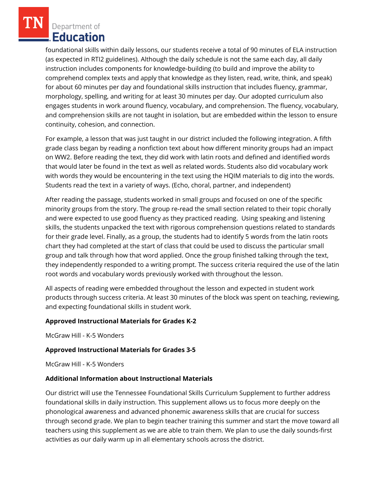foundational skills within daily lessons, our students receive a total of 90 minutes of ELA instruction (as expected in RTI2 guidelines). Although the daily schedule is not the same each day, all daily instruction includes components for knowledge-building (to build and improve the ability to comprehend complex texts and apply that knowledge as they listen, read, write, think, and speak) for about 60 minutes per day and foundational skills instruction that includes fluency, grammar, morphology, spelling, and writing for at least 30 minutes per day. Our adopted curriculum also engages students in work around fluency, vocabulary, and comprehension. The fluency, vocabulary, and comprehension skills are not taught in isolation, but are embedded within the lesson to ensure continuity, cohesion, and connection.

For example, a lesson that was just taught in our district included the following integration. A fifth grade class began by reading a nonfiction text about how different minority groups had an impact on WW2. Before reading the text, they did work with latin roots and defined and identified words that would later be found in the text as well as related words. Students also did vocabulary work with words they would be encountering in the text using the HQIM materials to dig into the words. Students read the text in a variety of ways. (Echo, choral, partner, and independent)

After reading the passage, students worked in small groups and focused on one of the specific minority groups from the story. The group re-read the small section related to their topic chorally and were expected to use good fluency as they practiced reading. Using speaking and listening skills, the students unpacked the text with rigorous comprehension questions related to standards for their grade level. Finally, as a group, the students had to identify 5 words from the latin roots chart they had completed at the start of class that could be used to discuss the particular small group and talk through how that word applied. Once the group finished talking through the text, they independently responded to a writing prompt. The success criteria required the use of the latin root words and vocabulary words previously worked with throughout the lesson.

All aspects of reading were embedded throughout the lesson and expected in student work products through success criteria. At least 30 minutes of the block was spent on teaching, reviewing, and expecting foundational skills in student work.

### **Approved Instructional Materials for Grades K-2**

McGraw Hill - K-5 Wonders

### **Approved Instructional Materials for Grades 3-5**

McGraw Hill - K-5 Wonders

### **Additional Information about Instructional Materials**

Our district will use the Tennessee Foundational Skills Curriculum Supplement to further address foundational skills in daily instruction. This supplement allows us to focus more deeply on the phonological awareness and advanced phonemic awareness skills that are crucial for success through second grade. We plan to begin teacher training this summer and start the move toward all teachers using this supplement as we are able to train them. We plan to use the daily sounds-first activities as our daily warm up in all elementary schools across the district.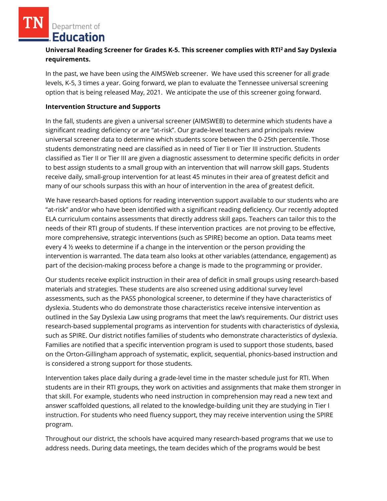# **Universal Reading Screener for Grades K-5. This screener complies with RTI<sup>2</sup>and Say Dyslexia requirements.**

In the past, we have been using the AIMSWeb screener. We have used this screener for all grade levels, K-5, 3 times a year. Going forward, we plan to evaluate the Tennessee universal screening option that is being released May, 2021. We anticipate the use of this screener going forward.

### **Intervention Structure and Supports**

In the fall, students are given a universal screener (AIMSWEB) to determine which students have a significant reading deficiency or are "at-risk". Our grade-level teachers and principals review universal screener data to determine which students score between the 0-25th percentile. Those students demonstrating need are classified as in need of Tier II or Tier III instruction. Students classified as Tier II or Tier III are given a diagnostic assessment to determine specific deficits in order to best assign students to a small group with an intervention that will narrow skill gaps. Students receive daily, small-group intervention for at least 45 minutes in their area of greatest deficit and many of our schools surpass this with an hour of intervention in the area of greatest deficit.

We have research-based options for reading intervention support available to our students who are "at-risk" and/or who have been identified with a significant reading deficiency. Our recently adopted ELA curriculum contains assessments that directly address skill gaps. Teachers can tailor this to the needs of their RTI group of students. If these intervention practices are not proving to be effective, more comprehensive, strategic interventions (such as SPIRE) become an option. Data teams meet every 4 ½ weeks to determine if a change in the intervention or the person providing the intervention is warranted. The data team also looks at other variables (attendance, engagement) as part of the decision-making process before a change is made to the programming or provider.

Our students receive explicit instruction in their area of deficit in small groups using research-based materials and strategies. These students are also screened using additional survey level assessments, such as the PASS phonological screener, to determine if they have characteristics of dyslexia. Students who do demonstrate those characteristics receive intensive intervention as outlined in the Say Dyslexia Law using programs that meet the law's requirements. Our district uses research-based supplemental programs as intervention for students with characteristics of dyslexia, such as SPIRE. Our district notifies families of students who demonstrate characteristics of dyslexia. Families are notified that a specific intervention program is used to support those students, based on the Orton-Gillingham approach of systematic, explicit, sequential, phonics-based instruction and is considered a strong support for those students.

Intervention takes place daily during a grade-level time in the master schedule just for RTI. When students are in their RTI groups, they work on activities and assignments that make them stronger in that skill. For example, students who need instruction in comprehension may read a new text and answer scaffolded questions, all related to the knowledge-building unit they are studying in Tier I instruction. For students who need fluency support, they may receive intervention using the SPIRE program.

Throughout our district, the schools have acquired many research-based programs that we use to address needs. During data meetings, the team decides which of the programs would be best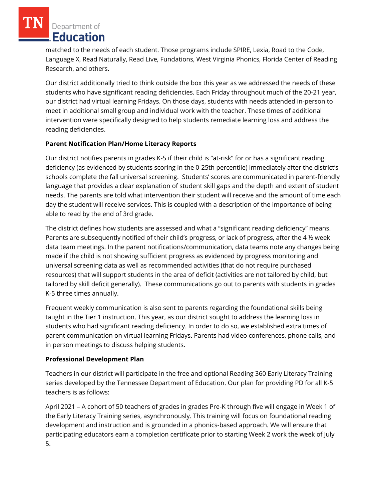matched to the needs of each student. Those programs include SPIRE, Lexia, Road to the Code, Language X, Read Naturally, Read Live, Fundations, West Virginia Phonics, Florida Center of Reading Research, and others.

Our district additionally tried to think outside the box this year as we addressed the needs of these students who have significant reading deficiencies. Each Friday throughout much of the 20-21 year, our district had virtual learning Fridays. On those days, students with needs attended in-person to meet in additional small group and individual work with the teacher. These times of additional intervention were specifically designed to help students remediate learning loss and address the reading deficiencies.

# **Parent Notification Plan/Home Literacy Reports**

Our district notifies parents in grades K-5 if their child is "at-risk" for or has a significant reading deficiency (as evidenced by students scoring in the 0-25th percentile) immediately after the district's schools complete the fall universal screening. Students' scores are communicated in parent-friendly language that provides a clear explanation of student skill gaps and the depth and extent of student needs. The parents are told what intervention their student will receive and the amount of time each day the student will receive services. This is coupled with a description of the importance of being able to read by the end of 3rd grade.

The district defines how students are assessed and what a "significant reading deficiency" means. Parents are subsequently notified of their child's progress, or lack of progress, after the 4 ½ week data team meetings. In the parent notifications/communication, data teams note any changes being made if the child is not showing sufficient progress as evidenced by progress monitoring and universal screening data as well as recommended activities (that do not require purchased resources) that will support students in the area of deficit (activities are not tailored by child, but tailored by skill deficit generally). These communications go out to parents with students in grades K-5 three times annually.

Frequent weekly communication is also sent to parents regarding the foundational skills being taught in the Tier 1 instruction. This year, as our district sought to address the learning loss in students who had significant reading deficiency. In order to do so, we established extra times of parent communication on virtual learning Fridays. Parents had video conferences, phone calls, and in person meetings to discuss helping students.

# **Professional Development Plan**

Teachers in our district will participate in the free and optional Reading 360 Early Literacy Training series developed by the Tennessee Department of Education. Our plan for providing PD for all K-5 teachers is as follows:

April 2021 – A cohort of 50 teachers of grades in grades Pre-K through five will engage in Week 1 of the Early Literacy Training series, asynchronously. This training will focus on foundational reading development and instruction and is grounded in a phonics-based approach. We will ensure that participating educators earn a completion certificate prior to starting Week 2 work the week of July 5.